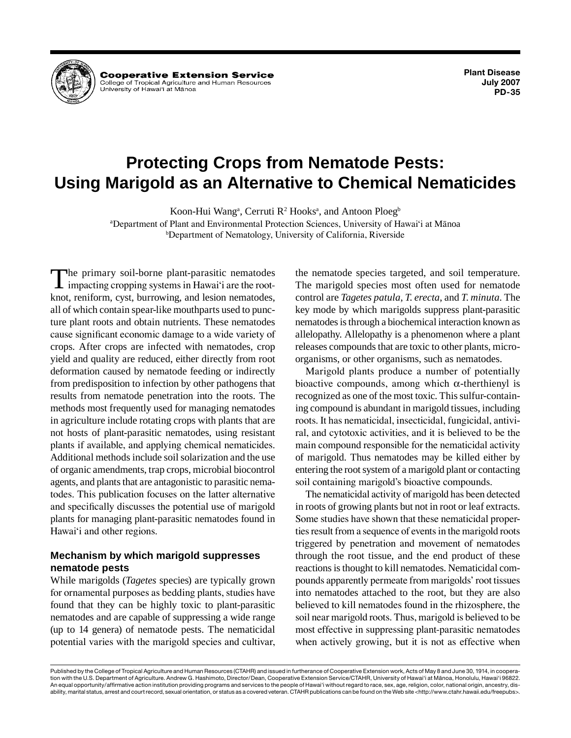

**Cooperative Extension Service** College of Tropical Agriculture and Human Resources<br>University of Hawaiʻi at Mānoa

**Plant Disease July 2007 PD-35**

# **Protecting Crops from Nematode Pests: Using Marigold as an Alternative to Chemical Nematicides**

Koon-Hui Wangª, Cerruti R<sup>2</sup> Hooksª, and Antoon Ploeg<sup>b</sup>

a Department of Plant and Environmental Protection Sciences, University of Hawai'i at Mänoa b Department of Nematology, University of California, Riverside

The primary soil-borne plant-parasitic nematodes<br>
impacting cropping systems in Hawai'i are the root-<br>
linet registem such humouring and locian nematodes knot, reniform, cyst, burrowing, and lesion nematodes, all of which contain spear-like mouthparts used to puncture plant roots and obtain nutrients. These nematodes cause significant economic damage to a wide variety of crops. After crops are infected with nematodes, crop yield and quality are reduced, either directly from root deformation caused by nematode feeding or indirectly from predisposition to infection by other pathogens that results from nematode penetration into the roots. The methods most frequently used for managing nematodes in agriculture include rotating crops with plants that are not hosts of plant-parasitic nematodes, using resistant plants if available, and applying chemical nematicides. Additional methods include soil solarization and the use of organic amendments, trap crops, microbial biocontrol agents, and plants that are antagonistic to parasitic nematodes. This publication focuses on the latter alternative and specifically discusses the potential use of marigold plants for managing plant-parasitic nematodes found in Hawai'i and other regions.

# **Mechanism by which marigold suppresses nematode pests**

While marigolds (*Tagetes* species) are typically grown for ornamental purposes as bedding plants, studies have found that they can be highly toxic to plant-parasitic nematodes and are capable of suppressing a wide range (up to 14 genera) of nematode pests. The nematicidal potential varies with the marigold species and cultivar, the nematode species targeted, and soil temperature. The marigold species most often used for nematode control are *Tagetes patula*, *T*. *erecta*, and *T*. *minuta*. The key mode by which marigolds suppress plant-parasitic nematodes is through a biochemical interaction known as allelopathy. Allelopathy is a phenomenon where a plant releases compounds that are toxic to other plants, microorganisms, or other organisms, such as nematodes.

Marigold plants produce a number of potentially bioactive compounds, among which  $\alpha$ -therthienyl is recognized as one of the most toxic. This sulfur-containing compound is abundant in marigold tissues, including roots. It has nematicidal, insecticidal, fungicidal, antiviral, and cytotoxic activities, and it is believed to be the main compound responsible for the nematicidal activity of marigold. Thus nematodes may be killed either by entering the root system of a marigold plant or contacting soil containing marigold's bioactive compounds.

The nematicidal activity of marigold has been detected in roots of growing plants but not in root or leaf extracts. Some studies have shown that these nematicidal properties result from a sequence of events in the marigold roots triggered by penetration and movement of nematodes through the root tissue, and the end product of these reactions is thought to kill nematodes. Nematicidal compounds apparently permeate from marigolds' root tissues into nematodes attached to the root, but they are also believed to kill nematodes found in the rhizosphere, the soil near marigold roots. Thus, marigold is believed to be most effective in suppressing plant-parasitic nematodes when actively growing, but it is not as effective when

Published by the College of Tropical Agriculture and Human Resources (CTAHR) and issued in furtherance of Cooperative Extension work, Acts of May 8 and June 30, 1914, in cooperation with the U.S. Department of Agriculture. Andrew G. Hashimoto, Director/Dean, Cooperative Extension Service/CTAHR, University of Hawai'i at Mänoa, Honolulu, Hawai'i 96822. An equal opportunity/affirmative action institution providing programs and services to the people of Hawai'i without regard to race, sex, age, religion, color, national origin, ancestry, disability, marital status, arrest and court record, sexual orientation, or status as a covered veteran. CTAHR publications can be found on the Web site <http://www.ctahr.hawaii.edu/freepubs>.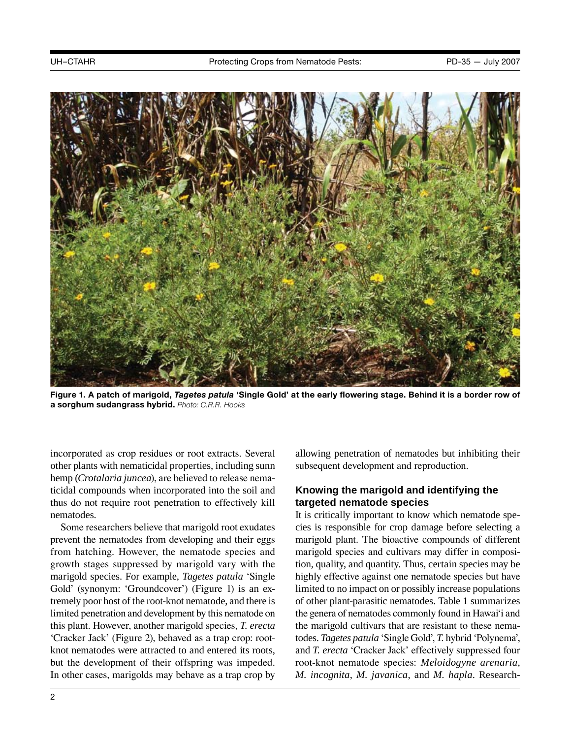

**Figure 1. A patch of marigold,** *Tagetes patula* **'Single Gold' at the early flowering stage. Behind it is a border row of a sorghum sudangrass hybrid.** *Photo: C.R.R. Hooks*

incorporated as crop residues or root extracts. Several other plants with nematicidal properties, including sunn hemp (*Crotalaria juncea*), are believed to release nematicidal compounds when incorporated into the soil and thus do not require root penetration to effectively kill nematodes.

Some researchers believe that marigold root exudates prevent the nematodes from developing and their eggs from hatching. However, the nematode species and growth stages suppressed by marigold vary with the marigold species. For example, *Tagetes patula* 'Single Gold' (synonym: 'Groundcover') (Figure 1) is an extremely poor host of the root-knot nematode, and there is limited penetration and development by this nematode on this plant. However, another marigold species, *T. erecta*  'Cracker Jack' (Figure 2), behaved as a trap crop: rootknot nematodes were attracted to and entered its roots, but the development of their offspring was impeded. In other cases, marigolds may behave as a trap crop by allowing penetration of nematodes but inhibiting their subsequent development and reproduction.

# **Knowing the marigold and identifying the targeted nematode species**

It is critically important to know which nematode species is responsible for crop damage before selecting a marigold plant. The bioactive compounds of different marigold species and cultivars may differ in composition, quality, and quantity. Thus, certain species may be highly effective against one nematode species but have limited to no impact on or possibly increase populations of other plant-parasitic nematodes. Table 1 summarizes the genera of nematodes commonly found in Hawai'i and the marigold cultivars that are resistant to these nematodes. *Tagetes patula* 'Single Gold', *T.* hybrid 'Polynema', and *T. erecta* 'Cracker Jack' effectively suppressed four root-knot nematode species: *Meloidogyne arenaria*, *M. incognita*, *M. javanica*, and *M. hapla*. Research-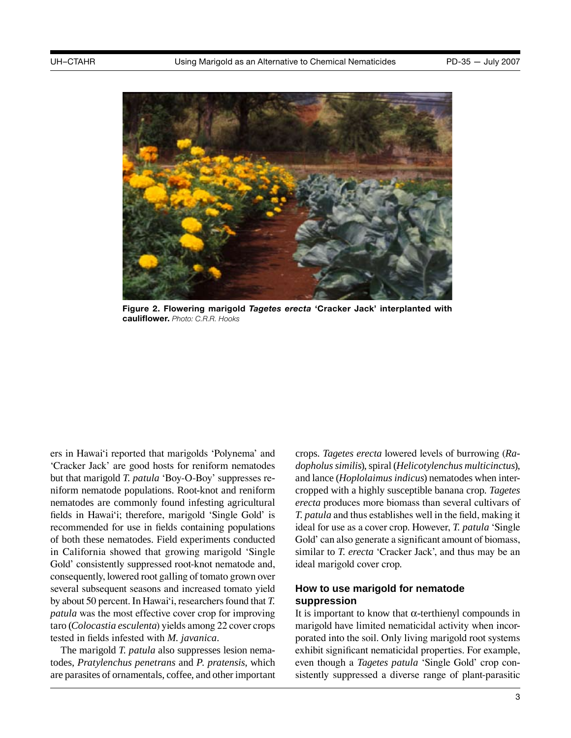

**Figure 2. Flowering marigold** *Tagetes erecta* **'Cracker Jack' interplanted with cauliflower.** *Photo: C.R.R. Hooks*

ers in Hawai'i reported that marigolds 'Polynema' and 'Cracker Jack' are good hosts for reniform nematodes but that marigold *T. patula* 'Boy-O-Boy' suppresses reniform nematode populations. Root-knot and reniform nematodes are commonly found infesting agricultural fields in Hawai'i; therefore, marigold 'Single Gold' is recommended for use in fields containing populations of both these nematodes. Field experiments conducted in California showed that growing marigold 'Single Gold' consistently suppressed root-knot nematode and, consequently, lowered root galling of tomato grown over several subsequent seasons and increased tomato yield by about 50 percent. In Hawai'i, researchers found that *T. patula* was the most effective cover crop for improving taro (*Colocastia esculenta*) yields among 22 cover crops tested in fields infested with *M. javanica*.

The marigold *T. patula* also suppresses lesion nematodes, *Pratylenchus penetrans* and *P. pratensis*, which are parasites of ornamentals, coffee, and other important crops. *Tagetes erecta* lowered levels of burrowing (*Radopholus similis*), spiral (*Helicotylenchus multicinctus*), and lance (*Hoplolaimus indicus*) nematodes when intercropped with a highly susceptible banana crop. *Tagetes erecta* produces more biomass than several cultivars of *T. patula* and thus establishes well in the field, making it ideal for use as a cover crop. However, *T. patula* 'Single Gold' can also generate a significant amount of biomass, similar to *T. erecta* 'Cracker Jack', and thus may be an ideal marigold cover crop.

# **How to use marigold for nematode suppression**

It is important to know that  $\alpha$ -terthienyl compounds in marigold have limited nematicidal activity when incorporated into the soil. Only living marigold root systems exhibit significant nematicidal properties. For example, even though a *Tagetes patula* 'Single Gold' crop consistently suppressed a diverse range of plant-parasitic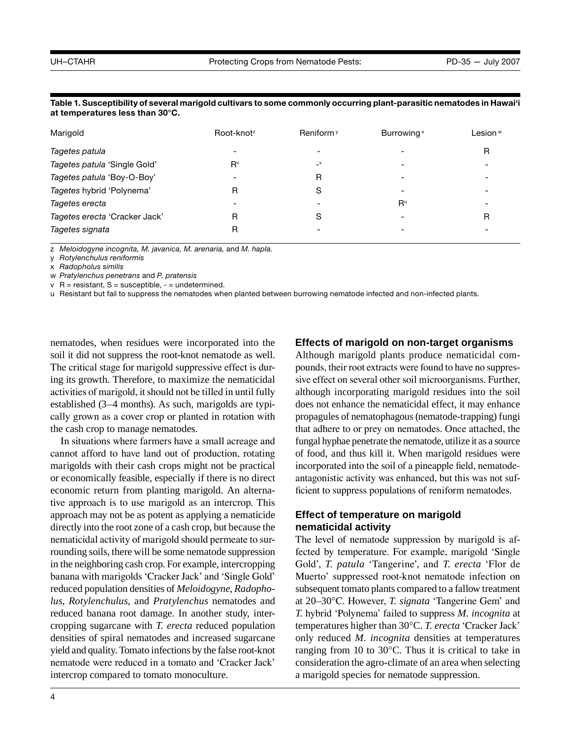| Marigold                      | Root-knot <sup>z</sup> | Reniform <sup>y</sup> | Burrowing <sup>x</sup> | Lesion <sup>w</sup> |
|-------------------------------|------------------------|-----------------------|------------------------|---------------------|
| Tagetes patula                | ٠                      |                       |                        | R                   |
| Tagetes patula 'Single Gold'  | $R^v$                  | $\mathsf{v}$          |                        |                     |
| Tagetes patula 'Boy-O-Boy'    |                        | R                     |                        |                     |
| Tagetes hybrid 'Polynema'     | R                      | S                     | -                      |                     |
| Tagetes erecta                | ۰                      |                       | $R^u$                  |                     |
| Tagetes erecta 'Cracker Jack' | R                      | S                     |                        | R                   |
| Tagetes signata               | R                      |                       |                        |                     |

**Table 1. Susceptibility of several marigold cultivars to some commonly occurring plant-parasitic nematodes in Hawai'i at temperatures less than 30°C.**

z *Meloidogyne incognita, M. javanica, M. arenaria,* and *M. hapla*.

y *Rotylenchulus reniformis*

x *Radopholus similis*

w *Pratylenchus penetrans* and *P. pratensis*

 $v$  R = resistant, S = susceptible,  $-$  = undetermined.

u Resistant but fail to suppress the nematodes when planted between burrowing nematode infected and non-infected plants.

nematodes, when residues were incorporated into the soil it did not suppress the root-knot nematode as well. The critical stage for marigold suppressive effect is during its growth. Therefore, to maximize the nematicidal activities of marigold, it should not be tilled in until fully established (3–4 months). As such, marigolds are typically grown as a cover crop or planted in rotation with the cash crop to manage nematodes.

In situations where farmers have a small acreage and cannot afford to have land out of production, rotating marigolds with their cash crops might not be practical or economically feasible, especially if there is no direct economic return from planting marigold. An alternative approach is to use marigold as an intercrop. This approach may not be as potent as applying a nematicide directly into the root zone of a cash crop, but because the nematicidal activity of marigold should permeate to surrounding soils, there will be some nematode suppression in the neighboring cash crop. For example, intercropping banana with marigolds 'Cracker Jack' and 'Single Gold' reduced population densities of *Meloidogyne*, *Radopholus*, *Rotylenchulus*, and *Pratylenchus* nematodes and reduced banana root damage. In another study, intercropping sugarcane with *T. erecta* reduced population densities of spiral nematodes and increased sugarcane yield and quality. Tomato infections by the false root-knot nematode were reduced in a tomato and 'Cracker Jack' intercrop compared to tomato monoculture.

#### **Effects of marigold on non-target organisms**

Although marigold plants produce nematicidal compounds, their root extracts were found to have no suppressive effect on several other soil microorganisms. Further, although incorporating marigold residues into the soil does not enhance the nematicidal effect, it may enhance propagules of nematophagous (nematode-trapping) fungi that adhere to or prey on nematodes. Once attached, the fungal hyphae penetrate the nematode, utilize it as a source of food, and thus kill it. When marigold residues were incorporated into the soil of a pineapple field, nematodeantagonistic activity was enhanced, but this was not sufficient to suppress populations of reniform nematodes.

### **Effect of temperature on marigold nematicidal activity**

The level of nematode suppression by marigold is affected by temperature. For example, marigold 'Single Gold', *T. patula* 'Tangerine', and *T. erecta* 'Flor de Muerto' suppressed root-knot nematode infection on subsequent tomato plants compared to a fallow treatment at 20–30°C. However, *T. signata* 'Tangerine Gem' and *T.* hybrid 'Polynema' failed to suppress *M. incognita* at temperatures higher than 30°C. *T. erecta* 'Cracker Jack' only reduced *M. incognita* densities at temperatures ranging from 10 to 30°C. Thus it is critical to take in consideration the agro-climate of an area when selecting a marigold species for nematode suppression.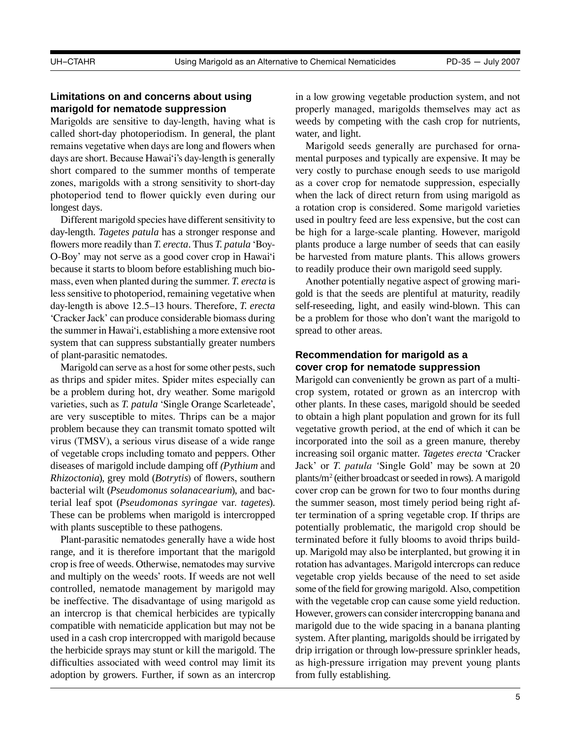# **Limitations on and concerns about using marigold for nematode suppression**

Marigolds are sensitive to day-length, having what is called short-day photoperiodism. In general, the plant remains vegetative when days are long and flowers when days are short. Because Hawai'i's day-length is generally short compared to the summer months of temperate zones, marigolds with a strong sensitivity to short-day photoperiod tend to flower quickly even during our longest days.

Different marigold species have different sensitivity to day-length. *Tagetes patula* has a stronger response and flowers more readily than *T. erecta*. Thus *T. patula* 'Boy-O-Boy' may not serve as a good cover crop in Hawai'i because it starts to bloom before establishing much biomass, even when planted during the summer. *T. erecta* is less sensitive to photoperiod, remaining vegetative when day-length is above 12.5–13 hours. Therefore, *T. erecta*  'Cracker Jack' can produce considerable biomass during the summer in Hawai'i, establishing a more extensive root system that can suppress substantially greater numbers of plant-parasitic nematodes.

Marigold can serve as a host for some other pests, such as thrips and *s*pider mites. Spider mites especially can be a problem during hot, dry weather. Some marigold varieties, such as *T. patula* 'Single Orange Scarleteade', are very susceptible to mites. Thrips can be a major problem because they can transmit tomato spotted wilt virus (TMSV), a serious virus disease of a wide range of vegetable crops including tomato and peppers. Other diseases of marigold include damping off *(Pythium* and *Rhizoctonia*), grey mold (*Botrytis*) of flowers, southern bacterial wilt (*Pseudomonus solanacearium*), and bacterial leaf spot (*Pseudomonas syringae* var. *tagetes*). These can be problems when marigold is intercropped with plants susceptible to these pathogens.

Plant-parasitic nematodes generally have a wide host range, and it is therefore important that the marigold crop is free of weeds. Otherwise, nematodes may survive and multiply on the weeds' roots. If weeds are not well controlled, nematode management by marigold may be ineffective. The disadvantage of using marigold as an intercrop is that chemical herbicides are typically compatible with nematicide application but may not be used in a cash crop intercropped with marigold because the herbicide sprays may stunt or kill the marigold. The difficulties associated with weed control may limit its adoption by growers. Further, if sown as an intercrop in a low growing vegetable production system, and not properly managed, marigolds themselves may act as weeds by competing with the cash crop for nutrients, water, and light.

Marigold seeds generally are purchased for ornamental purposes and typically are expensive. It may be very costly to purchase enough seeds to use marigold as a cover crop for nematode suppression, especially when the lack of direct return from using marigold as a rotation crop is considered. Some marigold varieties used in poultry feed are less expensive, but the cost can be high for a large-scale planting. However, marigold plants produce a large number of seeds that can easily be harvested from mature plants. This allows growers to readily produce their own marigold seed supply.

Another potentially negative aspect of growing marigold is that the seeds are plentiful at maturity, readily self-reseeding, light, and easily wind-blown. This can be a problem for those who don't want the marigold to spread to other areas.

#### **Recommendation for marigold as a cover crop for nematode suppression**

Marigold can conveniently be grown as part of a multicrop system, rotated or grown as an intercrop with other plants. In these cases, marigold should be seeded to obtain a high plant population and grown for its full vegetative growth period, at the end of which it can be incorporated into the soil as a green manure, thereby increasing soil organic matter. *Tagetes erecta* 'Cracker Jack' or *T. patula '*Single Gold' may be sown at 20 plants/m2 (either broadcast or seeded in rows). A marigold cover crop can be grown for two to four months during the summer season, most timely period being right after termination of a spring vegetable crop. If thrips are potentially problematic, the marigold crop should be terminated before it fully blooms to avoid thrips buildup. Marigold may also be interplanted, but growing it in rotation has advantages. Marigold intercrops can reduce vegetable crop yields because of the need to set aside some of the field for growing marigold. Also, competition with the vegetable crop can cause some yield reduction. However, growers can consider intercropping banana and marigold due to the wide spacing in a banana planting system. After planting, marigolds should be irrigated by drip irrigation or through low-pressure sprinkler heads, as high-pressure irrigation may prevent young plants from fully establishing.